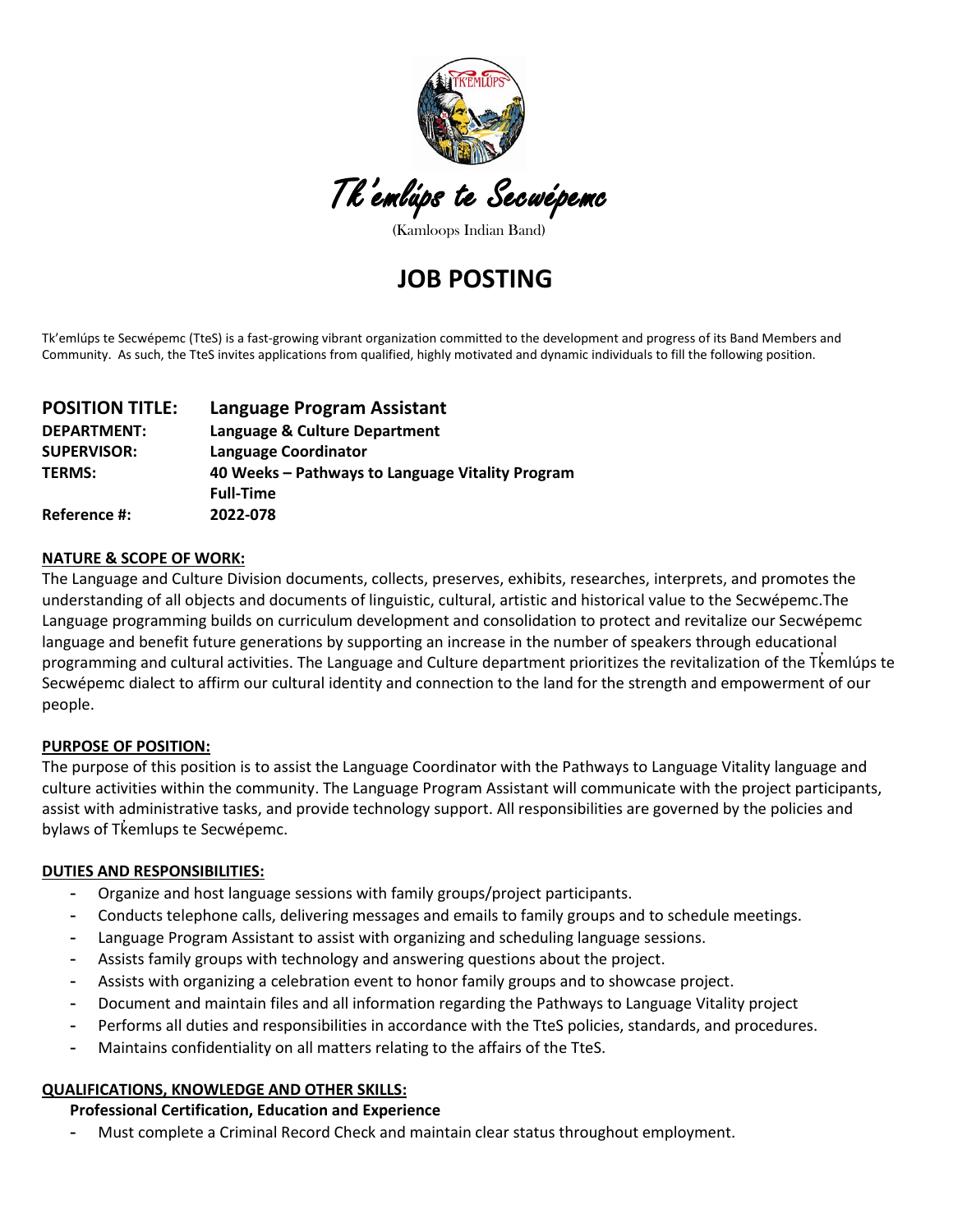

(Kamloops Indian Band)

# **JOB POSTING**

Tk'emlúps te Secwépemc (TteS) is a fast-growing vibrant organization committed to the development and progress of its Band Members and Community. As such, the TteS invites applications from qualified, highly motivated and dynamic individuals to fill the following position.

| <b>POSITION TITLE:</b> | Language Program Assistant                                           |
|------------------------|----------------------------------------------------------------------|
| <b>DEPARTMENT:</b>     | Language & Culture Department                                        |
| <b>SUPERVISOR:</b>     | <b>Language Coordinator</b>                                          |
| <b>TERMS:</b>          | 40 Weeks - Pathways to Language Vitality Program<br><b>Full-Time</b> |
| Reference #:           | 2022-078                                                             |

#### **NATURE & SCOPE OF WORK:**

The Language and Culture Division documents, collects, preserves, exhibits, researches, interprets, and promotes the understanding of all objects and documents of linguistic, cultural, artistic and historical value to the Secwépemc.The Language programming builds on curriculum development and consolidation to protect and revitalize our Secwépemc language and benefit future generations by supporting an increase in the number of speakers through educational programming and cultural activities. The Language and Culture department prioritizes the revitalization of the Tkemlúps te ̓ Secwépemc dialect to affirm our cultural identity and connection to the land for the strength and empowerment of our people.

#### **PURPOSE OF POSITION:**

The purpose of this position is to assist the Language Coordinator with the Pathways to Language Vitality language and culture activities within the community. The Language Program Assistant will communicate with the project participants, assist with administrative tasks, and provide technology support. All responsibilities are governed by the policies and bylaws of Tkemlups te Secwépemc.

#### **DUTIES AND RESPONSIBILITIES:**

- **-** Organize and host language sessions with family groups/project participants.
- **-** Conducts telephone calls, delivering messages and emails to family groups and to schedule meetings.
- **-** Language Program Assistant to assist with organizing and scheduling language sessions.
- **-** Assists family groups with technology and answering questions about the project.
- **-** Assists with organizing a celebration event to honor family groups and to showcase project.
- **-** Document and maintain files and all information regarding the Pathways to Language Vitality project
- **-** Performs all duties and responsibilities in accordance with the TteS policies, standards, and procedures.
- **-** Maintains confidentiality on all matters relating to the affairs of the TteS.

#### **QUALIFICATIONS, KNOWLEDGE AND OTHER SKILLS:**

**Professional Certification, Education and Experience**

**-** Must complete a Criminal Record Check and maintain clear status throughout employment.